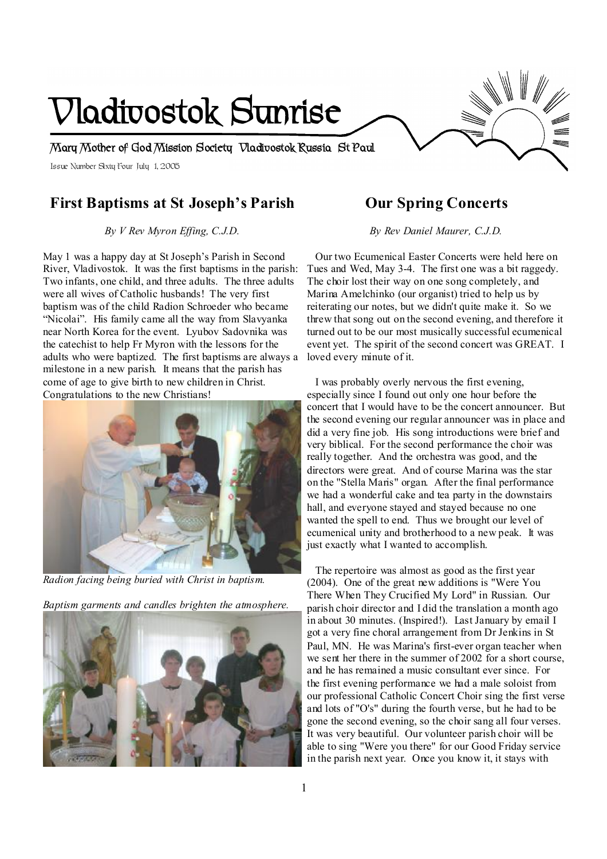# Issue Number Sixty Four July 1, 2005 **Minnesota Mary Mother of God Mission Society Vladivostok Russia St Paul Vladivostok Sunrise**

# **First Baptisms at St Joseph's Parish**

*By V Rev Myron Effing, C.J.D.* 

May 1 was a happy day at St Joseph's Parish in Second River, Vladivostok. It was the first baptisms in the parish: Two infants, one child, and three adults. The three adults were all wives of Catholic husbands! The very first baptism was of the child Radion Schroeder who became "Nicolai". His family came all the way from Slavyanka near North Korea for the event. Lyubov Sadovnika was the catechist to help Fr Myron with the lessons for the adults who were baptized. The first baptisms are always a milestone in a new parish. It means that the parish has come of age to give birth to new children in Christ. Congratulations to the new Christians!



*Radion facing being buried with Christ in baptism.* 

*Baptism garments and candles brighten the atmosphere.* 



## **Our Spring Concerts**

*By Rev Daniel Maurer, C.J.D.* 

 Our two Ecumenical Easter Concerts were held here on Tues and Wed, May 3-4. The first one was a bit raggedy. The choir lost their way on one song completely, and Marina Amelchinko (our organist) tried to help us by reiterating our notes, but we didn't quite make it. So we threw that song out on the second evening, and therefore it turned out to be our most musically successful ecumenical event yet. The spirit of the second concert was GREAT. I loved every minute of it.

 I was probably overly nervous the first evening, especially since I found out only one hour before the concert that I would have to be the concert announcer. But the second evening our regular announcer was in place and did a very fine job. His song introductions were brief and very biblical. For the second performance the choir was really together. And the orchestra was good, and the directors were great. And of course Marina was the star on the "Stella Maris" organ. After the final performance we had a wonderful cake and tea party in the downstairs hall, and everyone stayed and stayed because no one wanted the spell to end. Thus we brought our level of ecumenical unity and brotherhood to a new peak. It was just exactly what I wanted to accomplish.

 The repertoire was almost as good as the first year (2004). One of the great new additions is "Were You There When They Crucified My Lord" in Russian. Our parish choir director and I did the translation a month ago in about 30 minutes. (Inspired!). Last January by email I got a very fine choral arrangement from Dr Jenkins in St Paul, MN. He was Marina's first-ever organ teacher when we sent her there in the summer of 2002 for a short course. and he has remained a music consultant ever since. For the first evening performance we had a male soloist from our professional Catholic Concert Choir sing the first verse and lots of "O's" during the fourth verse, but he had to be gone the second evening, so the choir sang all four verses. It was very beautiful. Our volunteer parish choir will be able to sing "Were you there" for our Good Friday service in the parish next year. Once you know it, it stays with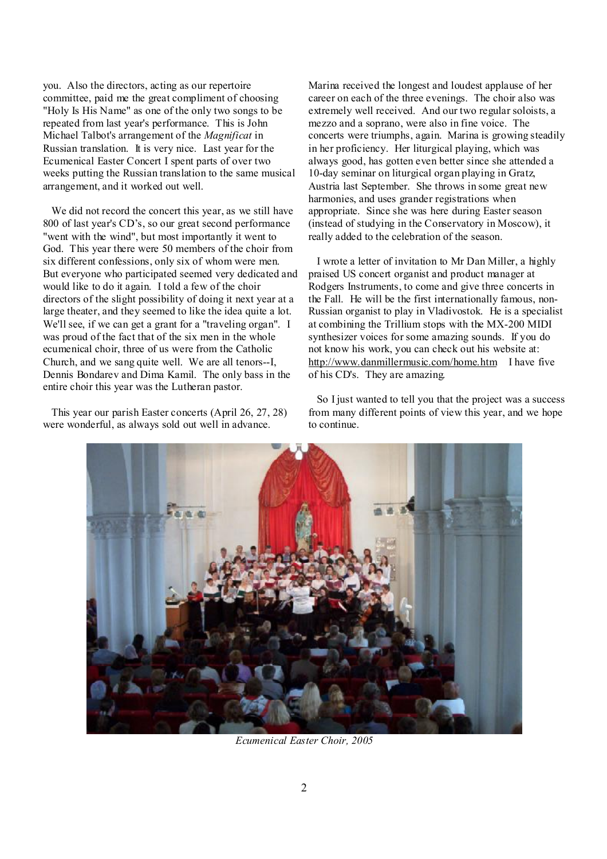you. Also the directors, acting as our repertoire committee, paid me the great compliment of choosing "Holy Is His Name" as one of the only two songs to be repeated from last year's performance. This is John Michael Talbot's arrangement of the *Magnificat* in Russian translation. It is very nice. Last year for the Ecumenical Easter Concert I spent parts of over two weeks putting the Russian translation to the same musical arrangement, and it worked out well.

 We did not record the concert this year, as we still have 800 of last year's CD's, so our great second performance "went with the wind", but most importantly it went to God. This year there were 50 members of the choir from six different confessions, only six of whom were men. But everyone who participated seemed very dedicated and would like to do it again. I told a few of the choir directors of the slight possibility of doing it next year at a large theater, and they seemed to like the idea quite a lot. We'll see, if we can get a grant for a "traveling organ". I was proud of the fact that of the six men in the whole ecumenical choir, three of us were from the Catholic Church, and we sang quite well. We are all tenors--I, Dennis Bondarev and Dima Kamil. The only bass in the entire choir this year was the Lutheran pastor.

 This year our parish Easter concerts (April 26, 27, 28) were wonderful, as always sold out well in advance.

Marina received the longest and loudest applause of her career on each of the three evenings. The choir also was extremely well received. And our two regular soloists, a mezzo and a soprano, were also in fine voice. The concerts were triumphs, again. Marina is growing steadily in her proficiency. Her liturgical playing, which was always good, has gotten even better since she attended a 10-day seminar on liturgical organ playing in Gratz, Austria last September. She throws in some great new harmonies, and uses grander registrations when appropriate. Since she was here during Easter season (instead of studying in the Conservatory in Moscow), it really added to the celebration of the season.

 I wrote a letter of invitation to Mr Dan Miller, a highly praised US concert organist and product manager at Rodgers Instruments, to come and give three concerts in the Fall. He will be the first internationally famous, non-Russian organist to play in Vladivostok. He is a specialist at combining the Trillium stops with the MX-200 MIDI synthesizer voices for some amazing sounds. If you do not know his work, you can check out his website at: <http://www.danmillermusic.com/home.htm>I have five of his CD's. They are amazing.

 So I just wanted to tell you that the project was a success from many different points of view this year, and we hope to continue.



*Ecumenical Easter Choir, 2005*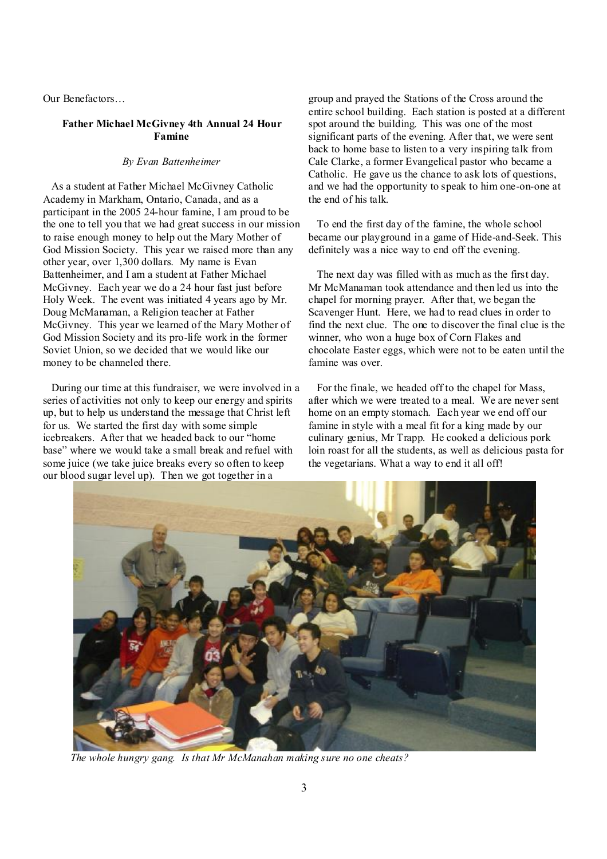Our Benefactors…

#### **Father Michael McGivney 4th Annual 24 Hour Famine**

#### *By Evan Battenheimer*

 As a student at Father Michael McGivney Catholic Academy in Markham, Ontario, Canada, and as a participant in the 2005 24-hour famine, I am proud to be the one to tell you that we had great success in our mission to raise enough money to help out the Mary Mother of God Mission Society. This year we raised more than any other year, over 1,300 dollars. My name is Evan Battenheimer, and I am a student at Father Michael McGivney. Each year we do a 24 hour fast just before Holy Week. The event was initiated 4 years ago by Mr. Doug McManaman, a Religion teacher at Father McGivney. This year we learned of the Mary Mother of God Mission Society and its pro-life work in the former Soviet Union, so we decided that we would like our money to be channeled there.

 During our time at this fundraiser, we were involved in a series of activities not only to keep our energy and spirits up, but to help us understand the message that Christ left for us. We started the first day with some simple icebreakers. After that we headed back to our "home base" where we would take a small break and refuel with some juice (we take juice breaks every so often to keep our blood sugar level up). Then we got together in a

group and prayed the Stations of the Cross around the entire school building. Each station is posted at a different spot around the building. This was one of the most significant parts of the evening. After that, we were sent back to home base to listen to a very inspiring talk from Cale Clarke, a former Evangelical pastor who became a Catholic. He gave us the chance to ask lots of questions, and we had the opportunity to speak to him one-on-one at the end of his talk.

 To end the first day of the famine, the whole school became our playground in a game of Hide-and-Seek. This definitely was a nice way to end off the evening.

 The next day was filled with as much as the first day. Mr McManaman took attendance and then led us into the chapel for morning prayer. After that, we began the Scavenger Hunt. Here, we had to read clues in order to find the next clue. The one to discover the final clue is the winner, who won a huge box of Corn Flakes and chocolate Easter eggs, which were not to be eaten until the famine was over.

 For the finale, we headed off to the chapel for Mass, after which we were treated to a meal. We are never sent home on an empty stomach. Each year we end off our famine in style with a meal fit for a king made by our culinary genius, Mr Trapp. He cooked a delicious pork loin roast for all the students, as well as delicious pasta for the vegetarians. What a way to end it all off!



 *The whole hungry gang. Is that Mr McManahan making sure no one cheats?*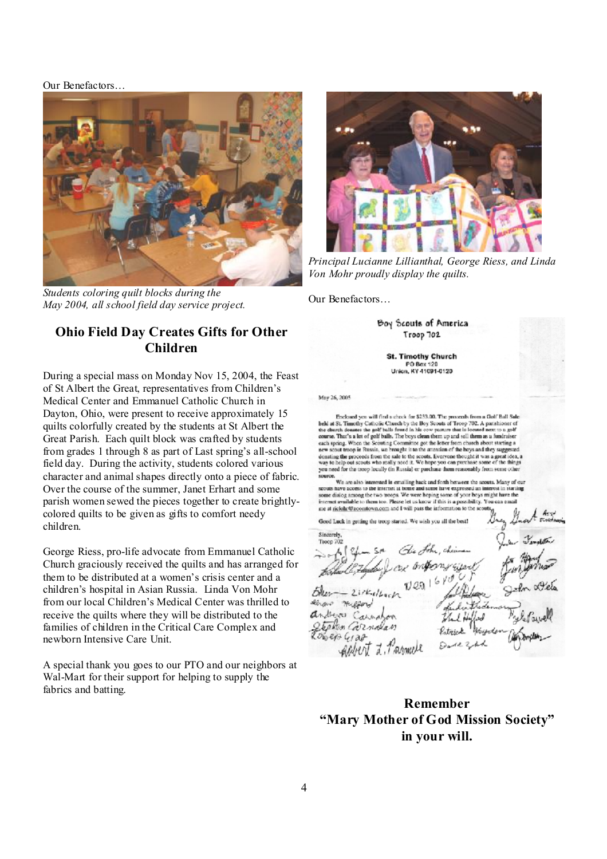#### Our Benefactors…



*Students coloring quilt blocks during the May 2004, all school field day service project.* 

## **Ohio Field Day Creates Gifts for Other Children**

During a special mass on Monday Nov 15, 2004, the Feast of St Albert the Great, representatives from Children's Medical Center and Emmanuel Catholic Church in Dayton, Ohio, were present to receive approximately 15 quilts colorfully created by the students at St Albert the Great Parish. Each quilt block was crafted by students from grades 1 through 8 as part of Last spring's all-school field day. During the activity, students colored various character and animal shapes directly onto a piece of fabric. Over the course of the summer, Janet Erhart and some parish women sewed the pieces together to create brightlycolored quilts to be given as gifts to comfort needy children.

George Riess, pro-life advocate from Emmanuel Catholic Church graciously received the quilts and has arranged for them to be distributed at a women's crisis center and a children's hospital in Asian Russia. Linda Von Mohr from our local Children's Medical Center was thrilled to receive the quilts where they will be distributed to the families of children in the Critical Care Complex and newborn Intensive Care Unit.

A special thank you goes to our PTO and our neighbors at Wal-Mart for their support for helping to supply the fabrics and batting.



*Principal Lucianne Lillianthal, George Riess, and Linda Von Mohr proudly display the quilts.* 

Our Benefactors…

Boy Scouts of America Troop 702

**St. Timothy Church** PO Box 120 Union, KY 41091-0120

May 26, 2005

Frieloard you will find a check for \$233.00. The proceeds from a Golf Ball Sale Encodes the contribution of the contract of the SSS. Security of the processes from a contribution of the disk of the control by the Boy Scouts of Troop 7002. A particular of the cherch donates the golf balls from d in his each spring. When the Scowing Committee got the letter from church about starting a new scout troop in Russia, we brought it to the attention of the bays and they suggested donating the proceeds from the sale to the sconts. Everyone thought it was a great idea, a<br>way to help out scoots who really need it. We hope you can purchase some of the things you need for the troop locally (in Russia) or parchase them reasonably from some other

Sources.<br>
Note an also interested in equation of previous them reasonary from some value<br>
We are also interested in emailing hack and forth between the socials. Many of our<br>
We are also interested in the source of your bo me at ricloir@acomtown.com and I will pass the information to the set

Good Luck in getting the troop started. We wish you all the best?

Sinazzala Troop 702 or ontrony site  $21rk_4l$ enous millors dever Carnagon Stephen Carnalan  $06e$  $04a$ 

**Remember "Mary Mother of God Mission Society" in your will.**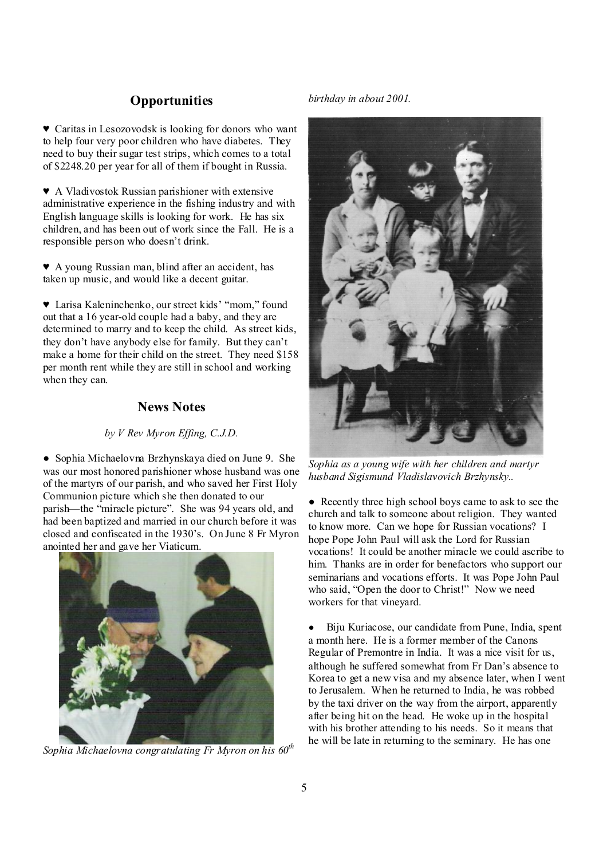## **Opportunities**

♥ Caritas in Lesozovodsk is looking for donors who want to help four very poor children who have diabetes. They need to buy their sugar test strips, which comes to a total of \$2248.20 per year for all of them if bought in Russia.

♥ A Vladivostok Russian parishioner with extensive administrative experience in the fishing industry and with English language skills is looking for work. He has six children, and has been out of work since the Fall. He is a responsible person who doesn't drink.

♥ A young Russian man, blind after an accident, has taken up music, and would like a decent guitar.

♥ Larisa Kaleninchenko, our street kids' "mom," found out that a 16 year-old couple had a baby, and they are determined to marry and to keep the child. As street kids, they don't have anybody else for family. But they can't make a home for their child on the street. They need \$158 per month rent while they are still in school and working when they can.

## **News Notes**

#### *by V Rev Myron Effing, C.J.D.*

● Sophia Michaelovna Brzhynskaya died on June 9. She was our most honored parishioner whose husband was one of the martyrs of our parish, and who saved her First Holy Communion picture which she then donated to our parish—the "miracle picture". She was 94 years old, and had been baptized and married in our church before it was closed and confiscated in the 1930's. On June 8 Fr Myron anointed her and gave her Viaticum.



*Sophia Michaelovna congratulating Fr Myron on his 60th*

*birthday in about 2001.* 



*Sophia as a young wife with her children and martyr husband Sigismund Vladislavovich Brzhynsky..* 

• Recently three high school boys came to ask to see the church and talk to someone about religion. They wanted to know more. Can we hope for Russian vocations? I hope Pope John Paul will ask the Lord for Russian vocations! It could be another miracle we could ascribe to him. Thanks are in order for benefactors who support our seminarians and vocations efforts. It was Pope John Paul who said, "Open the door to Christ!" Now we need workers for that vineyard.

● Biju Kuriacose, our candidate from Pune, India, spent a month here. He is a former member of the Canons Regular of Premontre in India. It was a nice visit for us, although he suffered somewhat from Fr Dan's absence to Korea to get a new visa and my absence later, when I went to Jerusalem. When he returned to India, he was robbed by the taxi driver on the way from the airport, apparently after being hit on the head. He woke up in the hospital with his brother attending to his needs. So it means that he will be late in returning to the seminary. He has one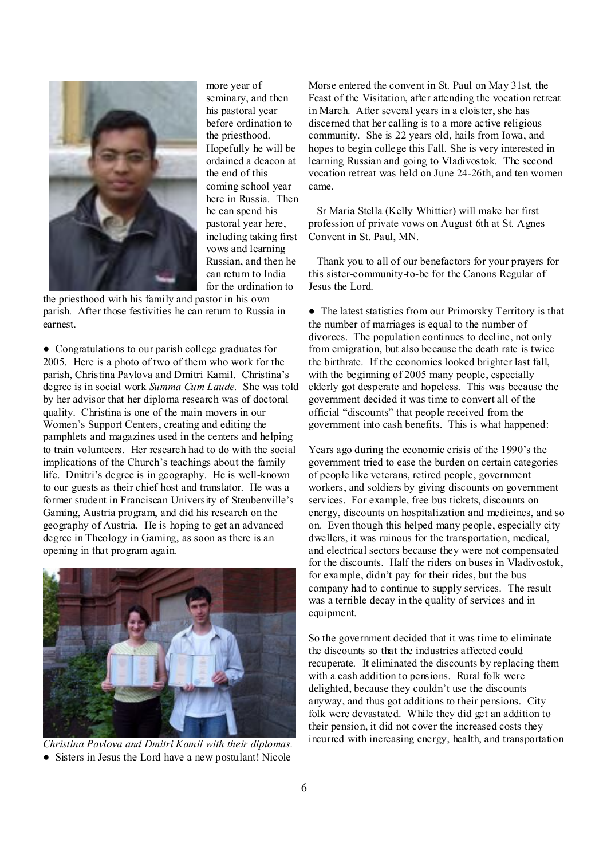

more year of seminary, and then his pastoral year before ordination to the priesthood. Hopefully he will be ordained a deacon at the end of this coming school year here in Russia. Then he can spend his pastoral year here, including taking first vows and learning Russian, and then he can return to India for the ordination to

the priesthood with his family and pastor in his own parish. After those festivities he can return to Russia in earnest.

● Congratulations to our parish college graduates for 2005. Here is a photo of two of them who work for the parish, Christina Pavlova and Dmitri Kamil. Christina's degree is in social work *Summa Cum Laude.* She was told by her advisor that her diploma research was of doctoral quality. Christina is one of the main movers in our Women's Support Centers, creating and editing the pamphlets and magazines used in the centers and helping to train volunteers. Her research had to do with the social implications of the Church's teachings about the family life. Dmitri's degree is in geography. He is well-known to our guests as their chief host and translator. He was a former student in Franciscan University of Steubenville's Gaming, Austria program, and did his research on the geography of Austria. He is hoping to get an advanced degree in Theology in Gaming, as soon as there is an opening in that program again.



*Christina Pavlova and Dmitri Kamil with their diplomas.*  ● Sisters in Jesus the Lord have a new postulant! Nicole

Morse entered the convent in St. Paul on May 31st, the Feast of the Visitation, after attending the vocation retreat in March. After several years in a cloister, she has discerned that her calling is to a more active religious community. She is 22 years old, hails from Iowa, and hopes to begin college this Fall. She is very interested in learning Russian and going to Vladivostok. The second vocation retreat was held on June 24-26th, and ten women came.

 Sr Maria Stella (Kelly Whittier) will make her first profession of private vows on August 6th at St. Agnes Convent in St. Paul, MN.

 Thank you to all of our benefactors for your prayers for this sister-community-to-be for the Canons Regular of Jesus the Lord.

• The latest statistics from our Primorsky Territory is that the number of marriages is equal to the number of divorces. The population continues to decline, not only from emigration, but also because the death rate is twice the birthrate. If the economics looked brighter last fall, with the beginning of 2005 many people, especially elderly got desperate and hopeless. This was because the government decided it was time to convert all of the official "discounts" that people received from the government into cash benefits. This is what happened:

Years ago during the economic crisis of the 1990's the government tried to ease the burden on certain categories of people like veterans, retired people, government workers, and soldiers by giving discounts on government services. For example, free bus tickets, discounts on energy, discounts on hospitalization and medicines, and so on. Even though this helped many people, especially city dwellers, it was ruinous for the transportation, medical, and electrical sectors because they were not compensated for the discounts. Half the riders on buses in Vladivostok, for example, didn't pay for their rides, but the bus company had to continue to supply services. The result was a terrible decay in the quality of services and in equipment.

So the government decided that it was time to eliminate the discounts so that the industries affected could recuperate. It eliminated the discounts by replacing them with a cash addition to pensions. Rural folk were delighted, because they couldn't use the discounts anyway, and thus got additions to their pensions. City folk were devastated. While they did get an addition to their pension, it did not cover the increased costs they incurred with increasing energy, health, and transportation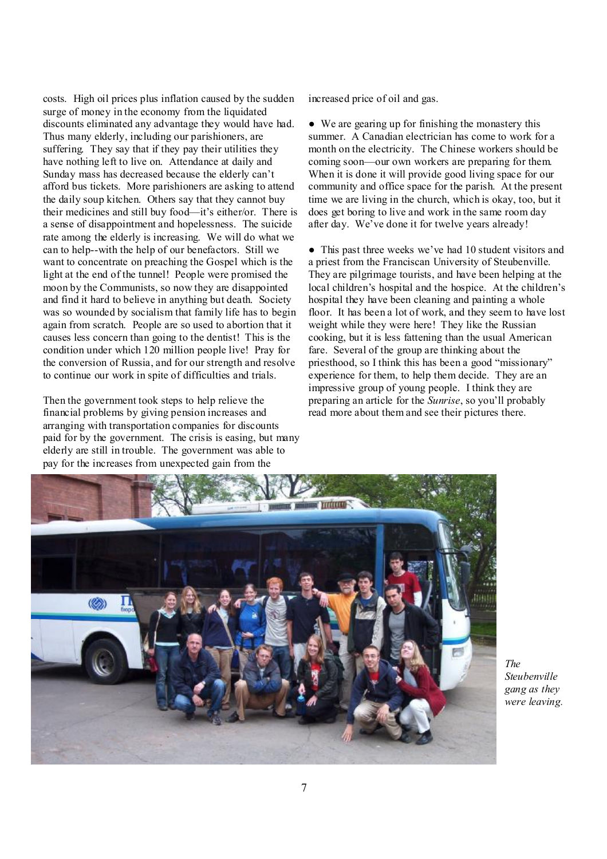costs. High oil prices plus inflation caused by the sudden surge of money in the economy from the liquidated discounts eliminated any advantage they would have had. Thus many elderly, including our parishioners, are suffering. They say that if they pay their utilities they have nothing left to live on. Attendance at daily and Sunday mass has decreased because the elderly can't afford bus tickets. More parishioners are asking to attend the daily soup kitchen. Others say that they cannot buy their medicines and still buy food—it's either/or. There is a sense of disappointment and hopelessness. The suicide rate among the elderly is increasing. We will do what we can to help--with the help of our benefactors. Still we want to concentrate on preaching the Gospel which is the light at the end of the tunnel! People were promised the moon by the Communists, so now they are disappointed and find it hard to believe in anything but death. Society was so wounded by socialism that family life has to begin again from scratch. People are so used to abortion that it causes less concern than going to the dentist! This is the condition under which 120 million people live! Pray for the conversion of Russia, and for our strength and resolve to continue our work in spite of difficulties and trials.

Then the government took steps to help relieve the financial problems by giving pension increases and arranging with transportation companies for discounts paid for by the government. The crisis is easing, but many elderly are still in trouble. The government was able to pay for the increases from unexpected gain from the

increased price of oil and gas.

● We are gearing up for finishing the monastery this summer. A Canadian electrician has come to work for a month on the electricity. The Chinese workers should be coming soon—our own workers are preparing for them. When it is done it will provide good living space for our community and office space for the parish. At the present time we are living in the church, which is okay, too, but it does get boring to live and work in the same room day after day. We've done it for twelve years already!

• This past three weeks we've had 10 student visitors and a priest from the Franciscan University of Steubenville. They are pilgrimage tourists, and have been helping at the local children's hospital and the hospice. At the children's hospital they have been cleaning and painting a whole floor. It has been a lot of work, and they seem to have lost weight while they were here! They like the Russian cooking, but it is less fattening than the usual American fare. Several of the group are thinking about the priesthood, so I think this has been a good "missionary" experience for them, to help them decide. They are an impressive group of young people. I think they are preparing an article for the *Sunrise*, so you'll probably read more about them and see their pictures there.



*The Steubenville gang as they were leaving.*